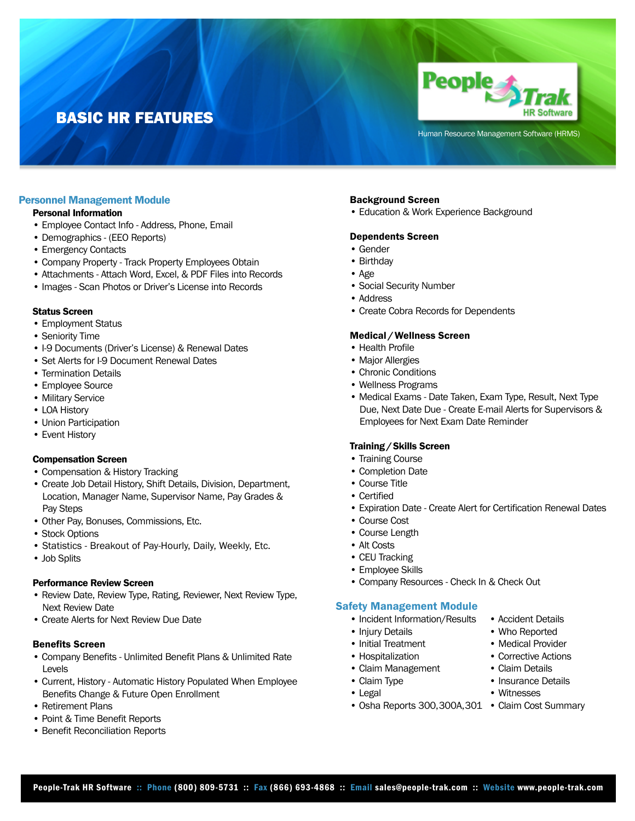# BASIC HR FEATURES



Human Resource Management Software (HRMS)

# Personnel Management Module

## Personal Information

- Employee Contact Info Address, Phone, Email
- Demographics (EEO Reports)
- Emergency Contacts
- Company Property Track Property Employees Obtain
- Attachments Attach Word, Excel, & PDF Files into Records
- Images Scan Photos or Driver's License into Records

#### Status Screen

- Employment Status
- Seniority Time
- I-9 Documents (Driver's License) & Renewal Dates
- Set Alerts for I-9 Document Renewal Dates
- Termination Details
- Employee Source
- Military Service
- LOA History
- Union Participation
- Event History

#### Compensation Screen

- Compensation & History Tracking
- Create Job Detail History, Shift Details, Division, Department, Location, Manager Name, Supervisor Name, Pay Grades & Pay Steps
- Other Pay, Bonuses, Commissions, Etc.
- Stock Options
- Statistics Breakout of Pay-Hourly, Daily, Weekly, Etc.
- Job Splits

#### Performance Review Screen

- Review Date, Review Type, Rating, Reviewer, Next Review Type, Next Review Date
- Create Alerts for Next Review Due Date

## Benefits Screen

- Company Benefits Unlimited Benefit Plans & Unlimited Rate Levels
- Current, History Automatic History Populated When Employee Benefits Change & Future Open Enrollment
- Retirement Plans
- Point & Time Benefit Reports
- Benefit Reconciliation Reports

## Background Screen

• Education & Work Experience Background

#### Dependents Screen

- Gender
- Birthday
- Age
- Social Security Number
- Address
- Create Cobra Records for Dependents

## Medical /Wellness Screen

- Health Profile
- Major Allergies
- Chronic Conditions
- Wellness Programs
- Medical Exams Date Taken, Exam Type, Result, Next Type Due, Next Date Due - Create E-mail Alerts for Supervisors & Employees for Next Exam Date Reminder

#### Training /Skills Screen

- Training Course
- Completion Date
- Course Title
- Certified
- Expiration Date Create Alert for Certification Renewal Dates
- Course Cost
- Course Length
- Alt Costs
- CEU Tracking
- Employee Skills
- Company Resources Check In & Check Out

## Safety Management Module

- Incident Information/Results Accident Details
- -
- 
- Claim Management Claim Details
- 
- 
- Osha Reports 300, 300A, 301 Claim Cost Summary
- 
- Injury Details Who Reported
- Initial Treatment Medical Provider
- Hospitalization Corrective Actions
	-
- Claim Type Insurance Details
- Legal Witnesses
	-